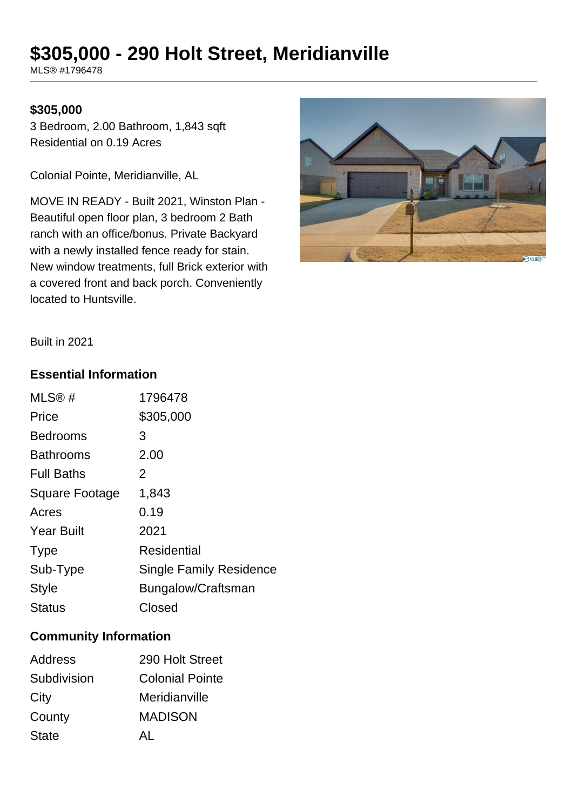# **\$305,000 - 290 Holt Street, Meridianville**

MLS® #1796478

# **\$305,000**

3 Bedroom, 2.00 Bathroom, 1,843 sqft Residential on 0.19 Acres

Colonial Pointe, Meridianville, AL

MOVE IN READY - Built 2021, Winston Plan - Beautiful open floor plan, 3 bedroom 2 Bath ranch with an office/bonus. Private Backyard with a newly installed fence ready for stain. New window treatments, full Brick exterior with a covered front and back porch. Conveniently located to Huntsville.



Built in 2021

#### **Essential Information**

| MLS®#                 | 1796478                        |
|-----------------------|--------------------------------|
| Price                 | \$305,000                      |
| <b>Bedrooms</b>       | 3                              |
| Bathrooms             | 2.00                           |
| <b>Full Baths</b>     | 2                              |
| <b>Square Footage</b> | 1,843                          |
| Acres                 | 0.19                           |
| <b>Year Built</b>     | 2021                           |
| <b>Type</b>           | <b>Residential</b>             |
| Sub-Type              | <b>Single Family Residence</b> |
| <b>Style</b>          | Bungalow/Craftsman             |
| <b>Status</b>         | Closed                         |
|                       |                                |

# **Community Information**

| 290 Holt Street        |
|------------------------|
| <b>Colonial Pointe</b> |
| Meridianville          |
| <b>MADISON</b>         |
| ΔI                     |
|                        |